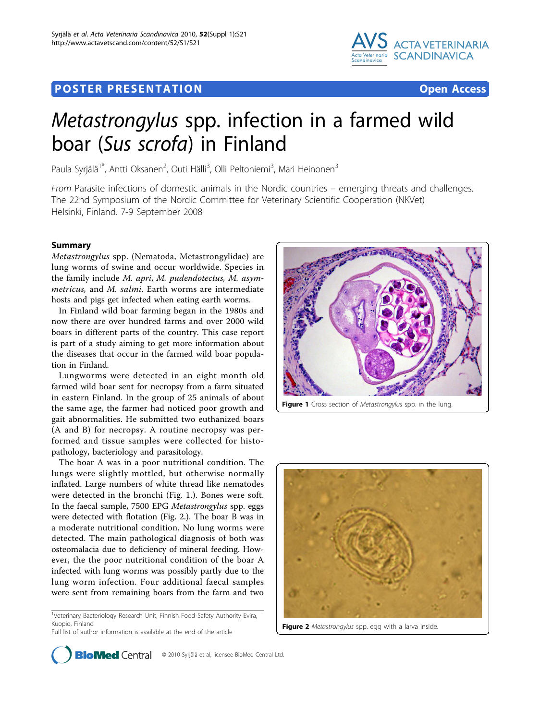## Post Experimental Police in the St English Police in the St English Police in the St English Police in the St<br>Police in the St English Police in the St English Police in the St English Police in the St English Police in



# Metastrongylus spp. infection in a farmed wild boar (Sus scrofa) in Finland

Paula Syrjälä<sup>1\*</sup>, Antti Oksanen<sup>2</sup>, Outi Hälli<sup>3</sup>, Olli Peltoniemi<sup>3</sup>, Mari Heinonen<sup>3</sup>

From Parasite infections of domestic animals in the Nordic countries – emerging threats and challenges. The 22nd Symposium of the Nordic Committee for Veterinary Scientific Cooperation (NKVet) Helsinki, Finland. 7-9 September 2008

,<br>*Metastrongylus* spp. (Nematoda, Metastrongylidae) are lung worms of swine and occur worldwide. Species in the family include M. apri, M. pudendotectus, M. asymmetricus, and M. salmi. Earth worms are intermediate hosts and pigs get infected when eating earth worms.

In Finland wild boar farming began in the 1980s and now there are over hundred farms and over 2000 wild boars in different parts of the country. This case report is part of a study aiming to get more information about the diseases that occur in the farmed wild boar population in Finland.

Lungworms were detected in an eight month old farmed wild boar sent for necropsy from a farm situated in eastern Finland. In the group of 25 animals of about the same age, the farmer had noticed poor growth and gait abnormalities. He submitted two euthanized boars (A and B) for necropsy. A routine necropsy was performed and tissue samples were collected for histopathology, bacteriology and parasitology.

The boar A was in a poor nutritional condition. The lungs were slightly mottled, but otherwise normally inflated. Large numbers of white thread like nematodes were detected in the bronchi (Fig. 1.). Bones were soft. In the faecal sample, 7500 EPG Metastrongylus spp. eggs were detected with flotation (Fig. 2.). The boar B was in a moderate nutritional condition. No lung worms were detected. The main pathological diagnosis of both was osteomalacia due to deficiency of mineral feeding. However, the the poor nutritional condition of the boar A infected with lung worms was possibly partly due to the lung worm infection. Four additional faecal samples were sent from remaining boars from the farm and two

<sup>1</sup>Veterinary Bacteriology Research Unit, Finnish Food Safety Authority Evira, Kuopio, Finland

Full list of author information is available at the end of the article



Figure 1 Cross section of Metastrongylus spp. in the lung.



Figure 2 Metastrongylus spp. egg with a larva inside.

**BioMed Central** © 2010 Syrjälä et al; licensee BioMed Central Ltd.